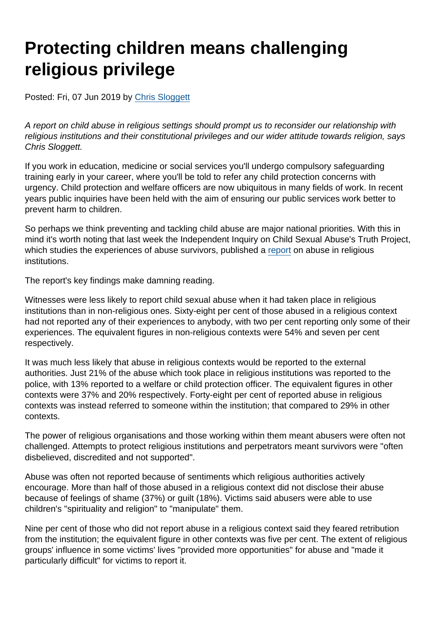## Protecting children means challenging religious privilege

Posted: Fri, 07 Jun 2019 by [Chris Sloggett](https://www.secularism.org.uk/opinion/authors/968)

A report on child abuse in religious settings should prompt us to reconsider our relationship with religious institutions and their constitutional privileges and our wider attitude towards religion, says Chris Sloggett.

If you work in education, medicine or social services you'll undergo compulsory safeguarding training early in your career, where you'll be told to refer any child protection concerns with urgency. Child protection and welfare officers are now ubiquitous in many fields of work. In recent years public inquiries have been held with the aim of ensuring our public services work better to prevent harm to children.

So perhaps we think preventing and tackling child abuse are major national priorities. With this in mind it's worth noting that last week the Independent Inquiry on Child Sexual Abuse's Truth Project, which studies the experiences of abuse survivors, published a [report](https://www.iicsa.org.uk/key-documents/11687/view/truth-project-thematic-report:-child-sexual-abuse-context-religious-institutions-full-report.pdf) on abuse in religious institutions.

The report's key findings make damning reading.

Witnesses were less likely to report child sexual abuse when it had taken place in religious institutions than in non-religious ones. Sixty-eight per cent of those abused in a religious context had not reported any of their experiences to anybody, with two per cent reporting only some of their experiences. The equivalent figures in non-religious contexts were 54% and seven per cent respectively.

It was much less likely that abuse in religious contexts would be reported to the external authorities. Just 21% of the abuse which took place in religious institutions was reported to the police, with 13% reported to a welfare or child protection officer. The equivalent figures in other contexts were 37% and 20% respectively. Forty-eight per cent of reported abuse in religious contexts was instead referred to someone within the institution; that compared to 29% in other contexts.

The power of religious organisations and those working within them meant abusers were often not challenged. Attempts to protect religious institutions and perpetrators meant survivors were "often disbelieved, discredited and not supported".

Abuse was often not reported because of sentiments which religious authorities actively encourage. More than half of those abused in a religious context did not disclose their abuse because of feelings of shame (37%) or guilt (18%). Victims said abusers were able to use children's "spirituality and religion" to "manipulate" them.

Nine per cent of those who did not report abuse in a religious context said they feared retribution from the institution; the equivalent figure in other contexts was five per cent. The extent of religious groups' influence in some victims' lives "provided more opportunities" for abuse and "made it particularly difficult" for victims to report it.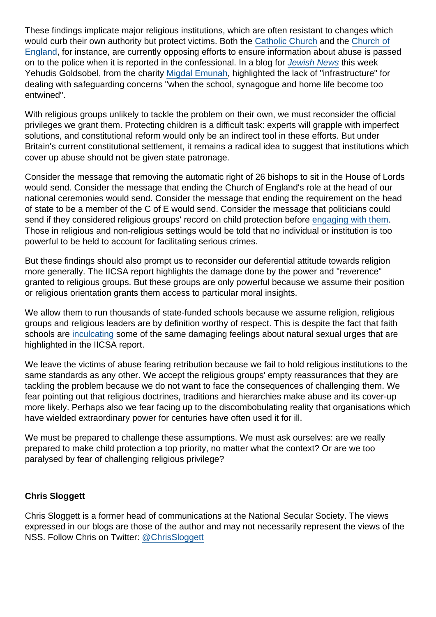These findings implicate major religious institutions, which are often resistant to changes which would curb their own authority but protect victims. Both the [Catholic Church](https://www.secularism.org.uk/opinion/2018/06/the-seal-of-the-confessional-and-child-abuse-a-religious-privilege-too-far) and the [Church of](https://www.theguardian.com/world/2019/may/08/c-of-e-abuse-survivors-dismayed-as-seal-of-confessional-upheld) [England](https://www.theguardian.com/world/2019/may/08/c-of-e-abuse-survivors-dismayed-as-seal-of-confessional-upheld), for instance, are currently opposing efforts to ensure information about abuse is passed on to the police when it is reported in the confessional. In a blog for [Jewish News](https://blogs.timesofisrael.com/the-recent-iicsa-report-into-child-sexual-abuse-rings-true/) this week Yehudis Goldsobel, from the charity [Migdal Emunah,](https://migdalemunah.org.uk/) highlighted the lack of "infrastructure" for dealing with safeguarding concerns "when the school, synagogue and home life become too entwined".

With religious groups unlikely to tackle the problem on their own, we must reconsider the official privileges we grant them. Protecting children is a difficult task: experts will grapple with imperfect solutions, and constitutional reform would only be an indirect tool in these efforts. But under Britain's current constitutional settlement, it remains a radical idea to suggest that institutions which cover up abuse should not be given state patronage.

Consider the message that removing the automatic right of 26 bishops to sit in the House of Lords would send. Consider the message that ending the Church of England's role at the head of our national ceremonies would send. Consider the message that ending the requirement on the head of state to be a member of the C of E would send. Consider the message that politicians could send if they considered religious groups' record on child protection before [engaging with them.](https://www.secularism.org.uk/opinion/2017/08/newcastle-whats-faith-got-to-do-with-it) Those in religious and non-religious settings would be told that no individual or institution is too powerful to be held to account for facilitating serious crimes.

But these findings should also prompt us to reconsider our deferential attitude towards religion more generally. The IICSA report highlights the damage done by the power and "reverence" granted to religious groups. But these groups are only powerful because we assume their position or religious orientation grants them access to particular moral insights.

We allow them to run thousands of state-funded schools because we assume religion, religious groups and religious leaders are by definition worthy of respect. This is despite the fact that faith schools are [inculcating](https://www.secularism.org.uk/news/2018/05/most-faith-schools-distorting-sex-education-nss-study-finds) some of the same damaging feelings about natural sexual urges that are highlighted in the IICSA report.

We leave the victims of abuse fearing retribution because we fail to hold religious institutions to the same standards as any other. We accept the religious groups' empty reassurances that they are tackling the problem because we do not want to face the consequences of challenging them. We fear pointing out that religious doctrines, traditions and hierarchies make abuse and its cover-up more likely. Perhaps also we fear facing up to the discombobulating reality that organisations which have wielded extraordinary power for centuries have often used it for ill.

We must be prepared to challenge these assumptions. We must ask ourselves: are we really prepared to make child protection a top priority, no matter what the context? Or are we too paralysed by fear of challenging religious privilege?

## Chris Sloggett

Chris Sloggett is a former head of communications at the National Secular Society. The views expressed in our blogs are those of the author and may not necessarily represent the views of the NSS. Follow Chris on Twitter: [@ChrisSloggett](https://twitter.com/ChrisSloggett)